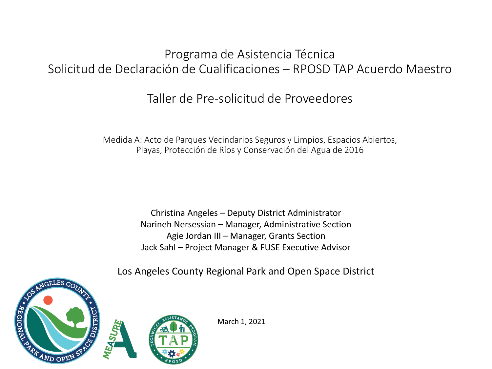## Programa de Asistencia Técnica Solicitud de Declaración de Cualificaciones – RPOSD TAP Acuerdo Maestro

## Taller de Pre-solicitud de Proveedores

Medida A: Acto de Parques Vecindarios Seguros y Limpios, Espacios Abiertos, Playas, Protección de Ríos y Conservación del Agua de 2016

> Christina Angeles – Deputy District Administrator Narineh Nersessian – Manager, Administrative Section Agie Jordan III – Manager, Grants Section Jack Sahl – Project Manager & FUSE Executive Advisor

Los Angeles County Regional Park and Open Space District



March 1, 2021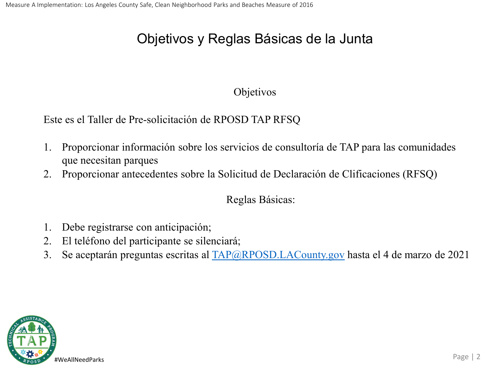## Objetivos y Reglas Básicas de la Junta

#### Objetivos

Este es el Taller de Pre-solicitación de RPOSD TAP RFSQ

- 1. Proporcionar información sobre los servicios de consultoría de TAP para las comunidades que necesitan parques
- 2. Proporcionar antecedentes sobre la Solicitud de Declaración de Clificaciones (RFSQ)

#### Reglas Básicas:

- 1. Debe registrarse con anticipación;
- 2. El teléfono del participante se silenciará;
- 3. Se aceptarán preguntas escritas al [TAP@RPOSD.LACounty.gov](mailto:TAP@RPOSD.LACounty.gov) hasta el 4 de marzo de 2021

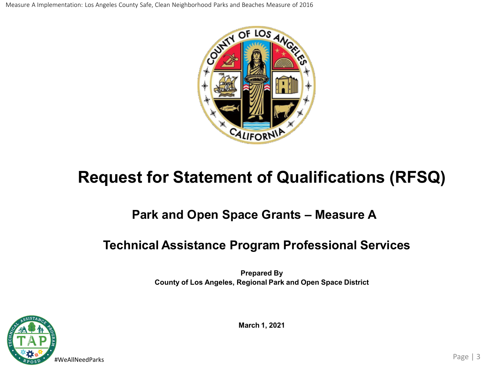Measure A Implementation: Los Angeles County Safe, Clean Neighborhood Parks and Beaches Measure of 2016



## **Request for Statement of Qualifications (RFSQ)**

## **Park and Open Space Grants – Measure A**

## **Technical Assistance Program Professional Services**

**Prepared By County of Los Angeles, Regional Park and Open Space District**



**March 1, 2021**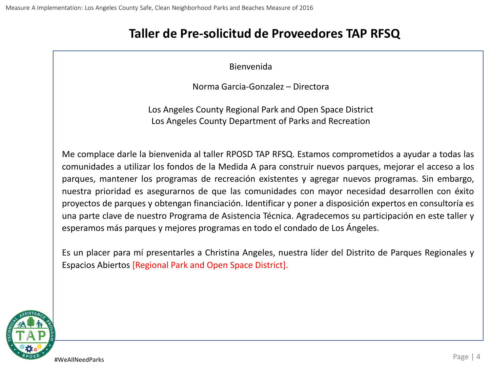### **Taller de Pre-solicitud de Proveedores TAP RFSQ**

Bienvenida

Norma Garcia-Gonzalez – Directora

Los Angeles County Regional Park and Open Space District Los Angeles County Department of Parks and Recreation

Me complace darle la bienvenida al taller RPOSD TAP RFSQ. Estamos comprometidos a ayudar a todas las comunidades a utilizar los fondos de la Medida A para construir nuevos parques, mejorar el acceso a los parques, mantener los programas de recreación existentes y agregar nuevos programas. Sin embargo, nuestra prioridad es asegurarnos de que las comunidades con mayor necesidad desarrollen con éxito proyectos de parques y obtengan financiación. Identificar y poner a disposición expertos en consultoría es una parte clave de nuestro Programa de Asistencia Técnica. Agradecemos su participación en este taller y esperamos más parques y mejores programas en todo el condado de Los Ángeles.

Es un placer para mí presentarles a Christina Angeles, nuestra líder del Distrito de Parques Regionales y Espacios Abiertos [Regional Park and Open Space District].

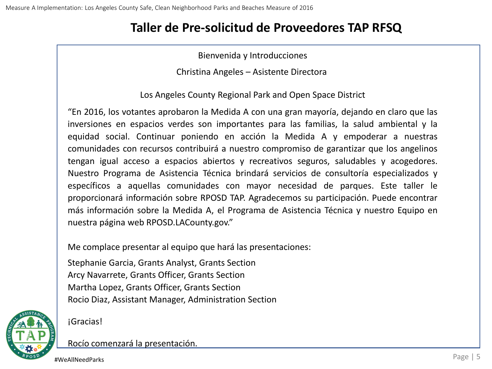### **Taller de Pre-solicitud de Proveedores TAP RFSQ**

Bienvenida y Introducciones

Christina Angeles – Asistente Directora

Los Angeles County Regional Park and Open Space District

"En 2016, los votantes aprobaron la Medida A con una gran mayoría, dejando en claro que las inversiones en espacios verdes son importantes para las familias, la salud ambiental y la equidad social. Continuar poniendo en acción la Medida A y empoderar a nuestras comunidades con recursos contribuirá a nuestro compromiso de garantizar que los angelinos tengan igual acceso a espacios abiertos y recreativos seguros, saludables y acogedores. Nuestro Programa de Asistencia Técnica brindará servicios de consultoría especializados y específicos a aquellas comunidades con mayor necesidad de parques. Este taller le proporcionará información sobre RPOSD TAP. Agradecemos su participación. Puede encontrar más información sobre la Medida A, el Programa de Asistencia Técnica y nuestro Equipo en nuestra página web RPOSD.LACounty.gov."

Me complace presentar al equipo que hará las presentaciones:

Stephanie Garcia, Grants Analyst, Grants Section Arcy Navarrete, Grants Officer, Grants Section Martha Lopez, Grants Officer, Grants Section Rocio Diaz, Assistant Manager, Administration Section



¡Gracias!

Rocío comenzará la presentación.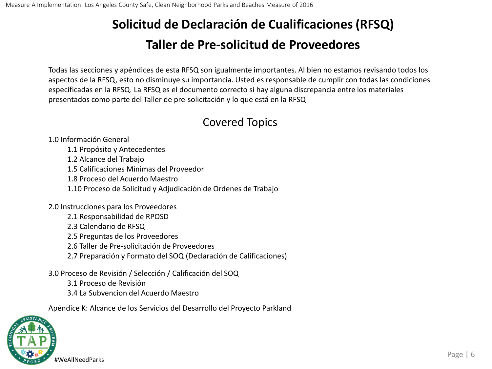Todas las secciones y apéndices de esta RFSQ son igualmente importantes. Al bien no estamos revisando todos los aspectos de la RFSQ, esto no disminuye su importancia. Usted es responsable de cumplir con todas las condiciones especificadas en la RFSQ. La RFSQ es el documento correcto si hay alguna discrepancia entre los materiales presentados como parte del Taller de pre-solicitación y lo que está en la RFSQ

### Covered Topics

1.0 Información General

- 1.1 Propósito y Antecedentes
- 1.2 Alcance del Trabajo
- 1.5 Calificaciones Mínimas del Proveedor
- 1.8 Proceso del Acuerdo Maestro
- 1.10 Proceso de Solicitud y Adjudicación de Ordenes de Trabajo
- 2.0 Instrucciones para los Proveedores
	- 2.1 Responsabilidad de RPOSD
	- 2.3 Calendario de RFSQ
	- 2.5 Preguntas de los Proveedores
	- 2.6 Taller de Pre-solicitación de Proveedores
	- 2.7 Preparación y Formato del SOQ (Declaración de Calificaciones)
- 3.0 Proceso de Revisión / Selección / Calificación del SOQ
	- 3.1 Proceso de Revisión
	- 3.4 La Subvencion del Acuerdo Maestro

Apéndice K: Alcance de los Servicios del Desarrollo del Proyecto Parkland

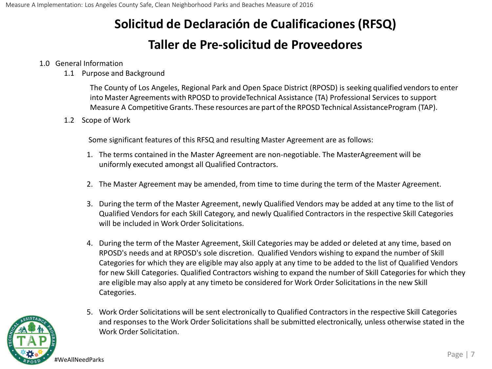#### 1.0 General Information

1.1 Purpose and Background

The County of Los Angeles, Regional Park and Open Space District (RPOSD) is seeking qualified vendorsto enter into Master Agreements with RPOSD to provideTechnical Assistance (TA) Professional Services to support Measure A CompetitiveGrants. These resources are part ofthe RPOSD Technical AssistanceProgram (TAP).

1.2 Scope of Work

Some significant features of this RFSQ and resulting Master Agreement are as follows:

- 1. The terms contained in the Master Agreement are non-negotiable. The MasterAgreement will be uniformly executed amongst all Qualified Contractors.
- 2. The Master Agreement may be amended, from time to time during the term of the Master Agreement.
- 3. During the term of the Master Agreement, newly Qualified Vendors may be added at any time to the list of Qualified Vendors for each Skill Category, and newly Qualified Contractors in the respective Skill Categories will be included in Work Order Solicitations.
- 4. During the term of the Master Agreement, Skill Categories may be added or deleted at any time, based on RPOSD's needs and at RPOSD's sole discretion. Qualified Vendors wishing to expand the number of Skill Categories for which they are eligible may also apply at any time to be added to the list of Qualified Vendors for new Skill Categories. Qualified Contractors wishing to expand the number of Skill Categories for which they are eligible may also apply at any timeto be considered for Work Order Solicitations in the new Skill Categories.



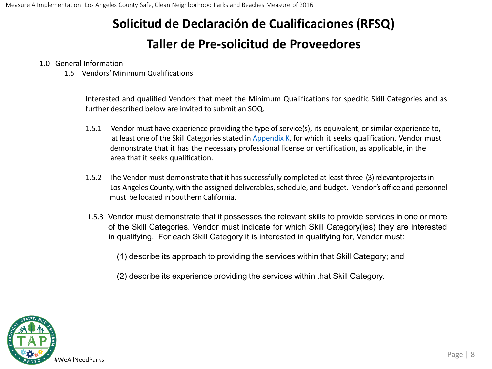#### 1.0 General Information

1.5 Vendors' Minimum Qualifications

Interested and qualified Vendors that meet the Minimum Qualifications for specific Skill Categories and as further described below are invited to submit an SOQ.

- 1.5.1 Vendor must have experience providing the type of service(s), its equivalent, or similar experience to, at least one of the Skill Categories stated in Appendix K, for which it seeks qualification. Vendor must demonstrate that it has the necessary professional license or certification, as applicable, in the area that it seeks qualification.
- 1.5.2 The Vendor must demonstrate that it has successfully completed at least three (3) relevant projects in Los Angeles County, with the assigned deliverables, schedule, and budget. Vendor's office and personnel must be located in Southern California.
- 1.5.3 Vendor must demonstrate that it possesses the relevant skills to provide services in one or more of the Skill Categories. Vendor must indicate for which Skill Category(ies) they are interested in qualifying. For each Skill Category it is interested in qualifying for, Vendor must:

(1) describe its approach to providing the services within that Skill Category; and

(2) describe its experience providing the services within that Skill Category.

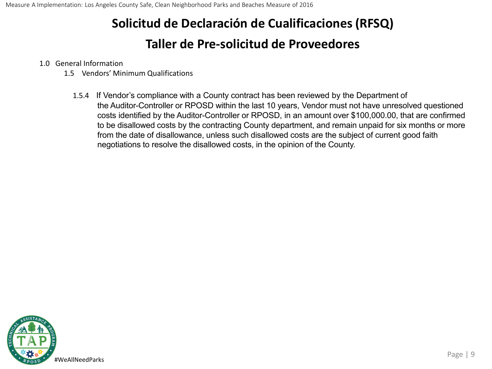1.0 General Information

- 1.5 Vendors' Minimum Qualifications
	- 1.5.4 If Vendor's compliance with a County contract has been reviewed by the Department of the Auditor-Controller or RPOSD within the last 10 years, Vendor must not have unresolved questioned costs identified by the Auditor-Controller or RPOSD, in an amount over \$100,000.00, that are confirmed to be disallowed costs by the contracting County department, and remain unpaid for six months or more from the date of disallowance, unless such disallowed costs are the subject of current good faith negotiations to resolve the disallowed costs, in the opinion of the County.

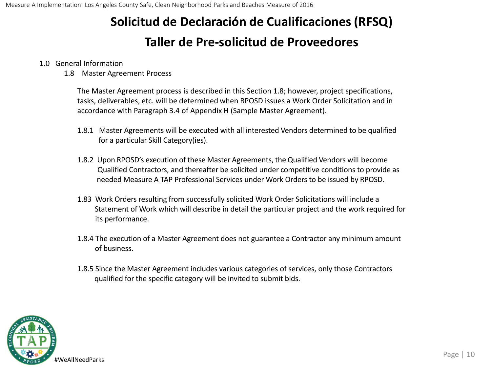#### 1.0 General Information

1.8 Master Agreement Process

The Master Agreement process is described in this Section 1.8; however, project specifications, tasks, deliverables, etc. will be determined when RPOSD issues a Work Order Solicitation and in accordance with Paragraph 3.4 of Appendix H (Sample Master Agreement).

- 1.8.1 Master Agreements will be executed with all interested Vendors determined to be qualified for a particular Skill Category(ies).
- 1.8.2 Upon RPOSD's execution of these Master Agreements, the Qualified Vendors will become Qualified Contractors, and thereafter be solicited under competitive conditions to provide as needed Measure A TAP Professional Services under Work Orders to be issued by RPOSD.
- 1.83 Work Orders resulting from successfully solicited Work Order Solicitations will include a Statement of Work which will describe in detail the particular project and the work required for its performance.
- 1.8.4 The execution of a Master Agreement does not guarantee a Contractor any minimum amount of business.
- 1.8.5 Since the Master Agreement includes various categories of services, only those Contractors qualified for the specific category will be invited to submit bids.

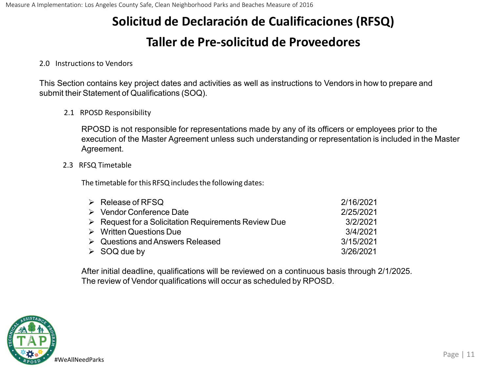### **Taller de Pre-solicitud de Proveedores**

#### 2.0 Instructions to Vendors

This Section contains key project dates and activities as well as instructions to Vendors in how to prepare and submit their Statement of Qualifications (SOQ).

2.1 RPOSD Responsibility

RPOSD is not responsible for representations made by any of its officers or employees prior to the execution of the Master Agreement unless such understanding or representation is included in the Master Agreement.

2.3 RFSQ Timetable

The timetable for this RFSQ includes the following dates:

| $\triangleright$ Release of RFSQ                                    | 2/16/2021 |
|---------------------------------------------------------------------|-----------|
| $\triangleright$ Vendor Conference Date                             | 2/25/2021 |
| $\triangleright$ Request for a Solicitation Requirements Review Due | 3/2/2021  |
| $\triangleright$ Written Questions Due                              | 3/4/2021  |
| $\triangleright$ Questions and Answers Released                     | 3/15/2021 |
| $\triangleright$ SOQ due by                                         | 3/26/2021 |

After initial deadline, qualifications will be reviewed on a continuous basis through 2/1/2025. The review of Vendor qualifications will occur as scheduled by RPOSD.

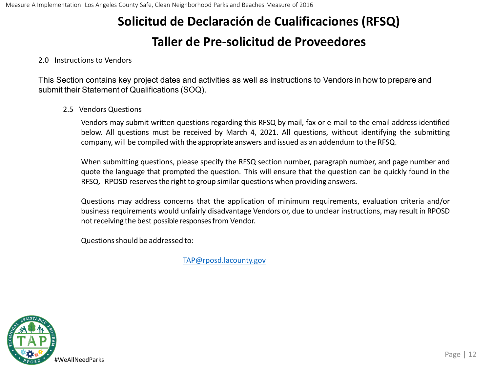### **Taller de Pre-solicitud de Proveedores**

#### 2.0 Instructions to Vendors

This Section contains key project dates and activities as well as instructions to Vendors in how to prepare and submit their Statement of Qualifications (SOQ).

#### 2.5 Vendors Questions

Vendors may submit written questions regarding this RFSQ by mail, fax or e-mail to the email address identified below. All questions must be received by March 4, 2021. All questions, without identifying the submitting company, will be compiled with the appropriateanswers and issued as an addendum to the RFSQ.

When submitting questions, please specify the RFSQ section number, paragraph number, and page number and quote the language that prompted the question. This will ensure that the question can be quickly found in the RFSQ. RPOSD reserves the right to group similar questions when providing answers.

Questions may address concerns that the application of minimum requirements, evaluation criteria and/or business requirements would unfairly disadvantage Vendors or, due to unclear instructions, may result in RPOSD not receiving the best possible responses from Vendor.

Questionsshould be addressed to:

[TAP@rposd.lacounty.gov](mailto:TAP@rposd.lacounty.gov)

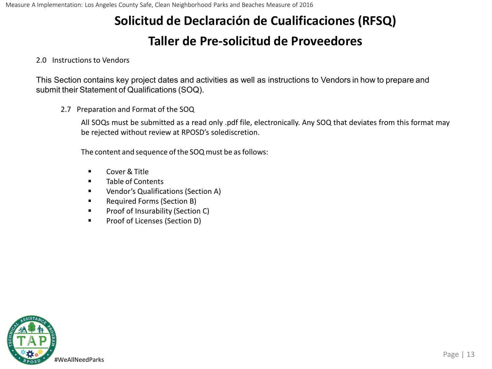## **Taller de Pre-solicitud de Proveedores**

#### 2.0 Instructions to Vendors

This Section contains key project dates and activities as well as instructions to Vendors in how to prepare and submit their Statement of Qualifications (SOQ).

2.7 Preparation and Format of the SOQ

All SOQs must be submitted as a read only .pdf file, electronically. Any SOQ that deviates from this format may be rejected without review at RPOSD's solediscretion.

The content and sequence of the SOQ must be as follows:

- Cover & Title
- **Table of Contents**
- **UREA** Vendor's Qualifications (Section A)
- **Required Forms (Section B)**
- **Proof of Insurability (Section C)**
- **Proof of Licenses (Section D)**

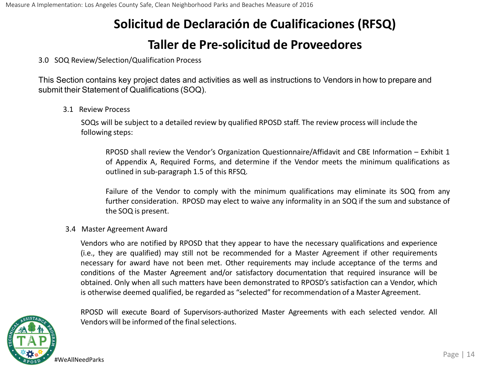3.0 SOQ Review/Selection/Qualification Process

This Section contains key project dates and activities as well as instructions to Vendors in how to prepare and submit their Statement of Qualifications (SOQ).

3.1 Review Process

SOQs will be subject to a detailed review by qualified RPOSD staff. The review process will include the following steps:

RPOSD shall review the Vendor's Organization Questionnaire/Affidavit and CBE Information – Exhibit 1 of Appendix A, Required Forms, and determine if the Vendor meets the minimum qualifications as outlined in sub-paragraph 1.5 of this RFSQ.

Failure of the Vendor to comply with the minimum qualifications may eliminate its SOQ from any further consideration. RPOSD may elect to waive any informality in an SOQ if the sum and substance of the SOQ is present.

#### 3.4 Master Agreement Award

Vendors who are notified by RPOSD that they appear to have the necessary qualifications and experience (i.e., they are qualified) may still not be recommended for a Master Agreement if other requirements necessary for award have not been met. Other requirements may include acceptance of the terms and conditions of the Master Agreement and/or satisfactory documentation that required insurance will be obtained. Only when all such matters have been demonstrated to RPOSD's satisfaction can a Vendor, which is otherwise deemed qualified, be regarded as "selected" for recommendation of a Master Agreement.



RPOSD will execute Board of Supervisors-authorized Master Agreements with each selected vendor. All Vendors will be informed of the final selections.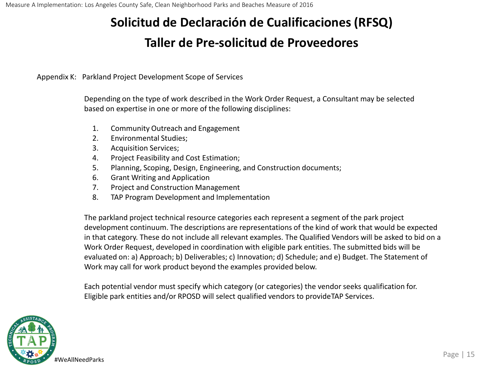Appendix K: Parkland Project Development Scope of Services

Depending on the type of work described in the Work Order Request, a Consultant may be selected based on expertise in one or more of the following disciplines:

- 1. Community Outreach and Engagement
- 2. Environmental Studies;
- 3. Acquisition Services;
- 4. Project Feasibility and Cost Estimation;
- 5. Planning, Scoping, Design, Engineering, and Construction documents;
- 6. Grant Writing and Application
- 7. Project and Construction Management
- 8. TAP Program Development and Implementation

The parkland project technical resource categories each represent a segment of the park project development continuum. The descriptions are representations of the kind of work that would be expected in that category. These do not include all relevant examples. The Qualified Vendors will be asked to bid on a Work Order Request, developed in coordination with eligible park entities. The submitted bids will be evaluated on: a) Approach; b) Deliverables; c) Innovation; d) Schedule; and e) Budget. The Statement of Work may call for work product beyond the examples provided below.

Each potential vendor must specify which category (or categories) the vendor seeks qualification for. Eligible park entities and/or RPOSD will select qualified vendors to provideTAP Services.

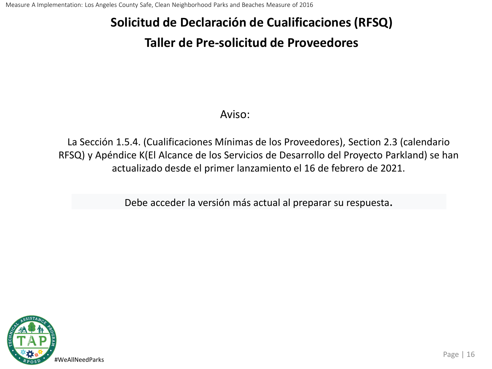### **Taller de Pre-solicitud de Proveedores**

### Aviso:

La Sección 1.5.4. (Cualificaciones Mínimas de los Proveedores), Section 2.3 (calendario RFSQ) y Apéndice K(El Alcance de los Servicios de Desarrollo del Proyecto Parkland) se han actualizado desde el primer lanzamiento el 16 de febrero de 2021.

Debe acceder la versión más actual al preparar su respuesta.

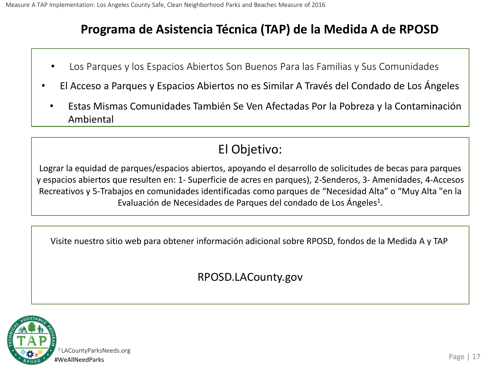## **Programa de Asistencia Técnica (TAP) de la Medida A de RPOSD**

- Los Parques y los Espacios Abiertos Son Buenos Para las Familias y Sus Comunidades
- El Acceso a Parques y Espacios Abiertos no es Similar A Través del Condado de Los Ángeles
	- Estas Mismas Comunidades También Se Ven Afectadas Por la Pobreza y la Contaminación Ambiental

## El Objetivo:

Lograr la equidad de parques/espacios abiertos, apoyando el desarrollo de solicitudes de becas para parques y espacios abiertos que resulten en: 1- Superficie de acres en parques), 2-Senderos, 3- Amenidades, 4-Accesos Recreativos y 5-Trabajos en comunidades identificadas como parques de "Necesidad Alta" o "Muy Alta "en la Evaluación de Necesidades de Parques del condado de Los Ángeles<sup>1</sup>.

Visite nuestro sitio web para obtener información adicional sobre RPOSD, fondos de la Medida A y TAP

RPOSD.LACounty.gov

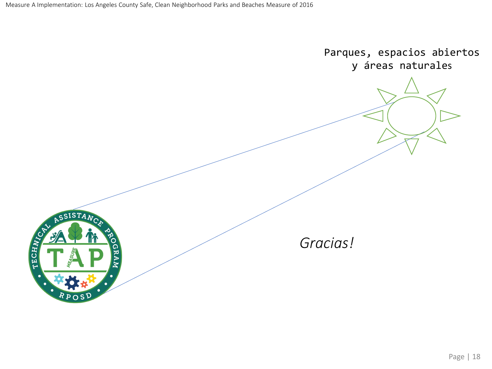